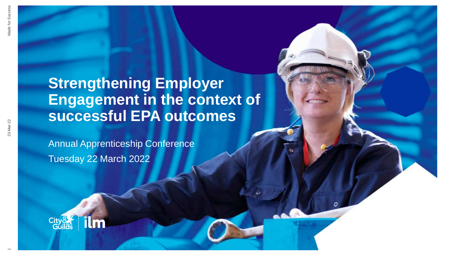# **Strengthening Employer Engagement in the context of successful EPA outcomes**

Annual Apprenticeship Conference Tuesday 22 March 2022



 $\overline{\phantom{0}}$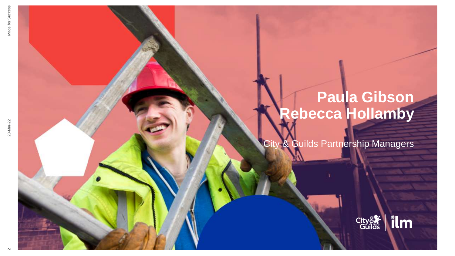# **Paula Gibson Rebecca Hollamby**

**City & Guilds Partnership Managers** 

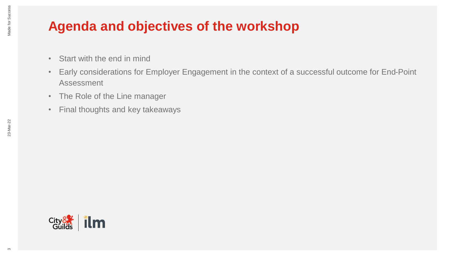## **Agenda and objectives of the workshop**

- Start with the end in mind
- Early considerations for Employer Engagement in the context of a successful outcome for End-Point Assessment
- The Role of the Line manager
- Final thoughts and key takeaways

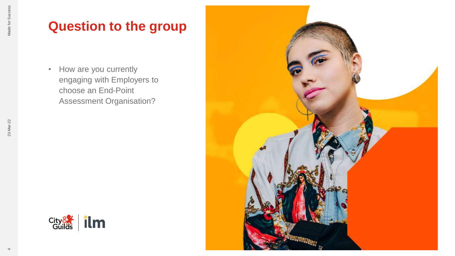### **Question to the group**

• How are you currently engaging with Employers to choose an End-Point Assessment Organisation?





4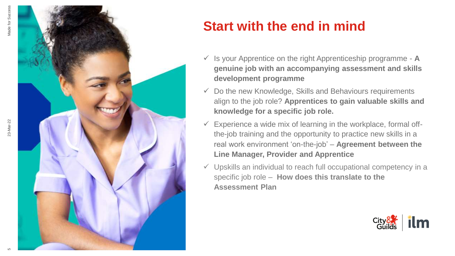

### **Start with the end in mind**

- $\checkmark$  Is your Apprentice on the right Apprenticeship programme  $\mathbf{A}$ **genuine job with an accompanying assessment and skills development programme**
- $\checkmark$  Do the new Knowledge, Skills and Behaviours requirements align to the job role? **Apprentices to gain valuable skills and knowledge for a specific job role.**
- $\checkmark$  Experience a wide mix of learning in the workplace, formal offthe-job training and the opportunity to practice new skills in a real work environment 'on-the-job' – **Agreement between the Line Manager, Provider and Apprentice**
- $\checkmark$  Upskills an individual to reach full occupational competency in a specific job role – **How does this translate to the Assessment Plan**

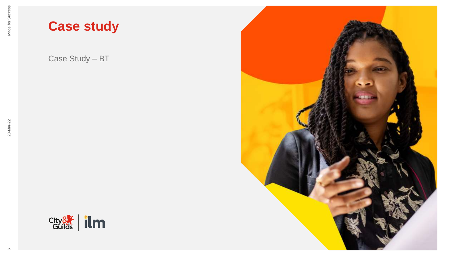### **Case study**

Case Study – BT



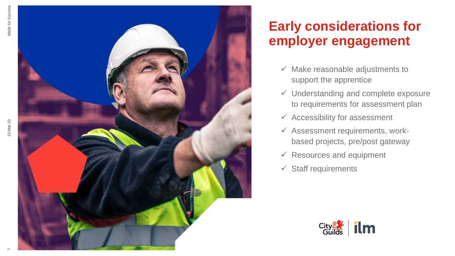23-Mar-22



## **Early considerations for employer engagement**

- $\checkmark$  Make reasonable adjustments to support the apprentice
- ✓ Understanding and complete exposure to requirements for assessment plan
- $\checkmark$  Accessibility for assessment
- ✓ Assessment requirements, work based projects, pre/post gateway
- $\checkmark$  Resources and equipment
- $\checkmark$  Staff requirements

![](_page_6_Picture_9.jpeg)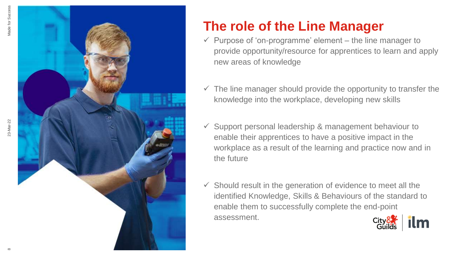23-Mar-22

![](_page_7_Picture_1.jpeg)

# **The role of the Line Manager**

- $\checkmark$  Purpose of 'on-programme' element the line manager to provide opportunity/resource for apprentices to learn and apply new areas of knowledge
- $\checkmark$  The line manager should provide the opportunity to transfer the knowledge into the workplace, developing new skills
- $\checkmark$  Support personal leadership & management behaviour to enable their apprentices to have a positive impact in the workplace as a result of the learning and practice now and in the future
- $\checkmark$  Should result in the generation of evidence to meet all the identified Knowledge, Skills & Behaviours of the standard to enable them to successfully complete the end-point assessment.

![](_page_7_Picture_7.jpeg)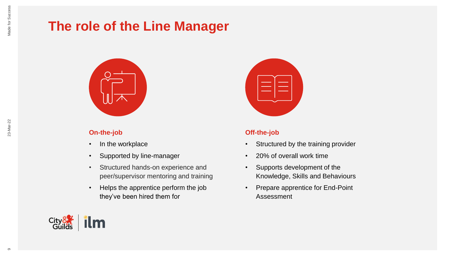### **The role of the Line Manager**

![](_page_8_Picture_2.jpeg)

#### **On-the-job**

- In the workplace
- Supported by line-manager
- Structured hands-on experience and peer/supervisor mentoring and training
- Helps the apprentice perform the job they've been hired them for

![](_page_8_Picture_8.jpeg)

#### **Off-the-job**

- Structured by the training provider
- 20% of overall work time
- Supports development of the Knowledge, Skills and Behaviours
- Prepare apprentice for End-Point Assessment

![](_page_8_Picture_14.jpeg)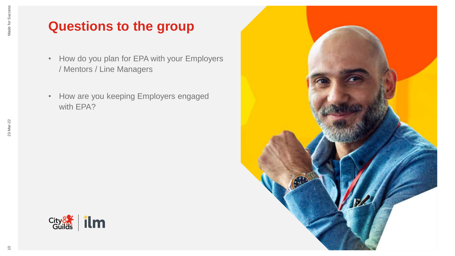#### **Questions to the group**

- How do you plan for EPA with your Employers / Mentors / Line Managers
- How are you keeping Employers engaged with EPA?

![](_page_9_Picture_4.jpeg)

![](_page_9_Picture_5.jpeg)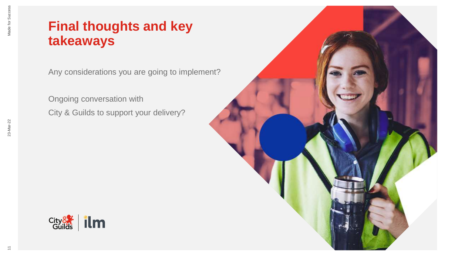#### **Final thoughts and key takeaways**

Any considerations you are going to implement?

Ongoing conversation with City & Guilds to support your delivery?

![](_page_10_Picture_4.jpeg)

![](_page_10_Picture_5.jpeg)